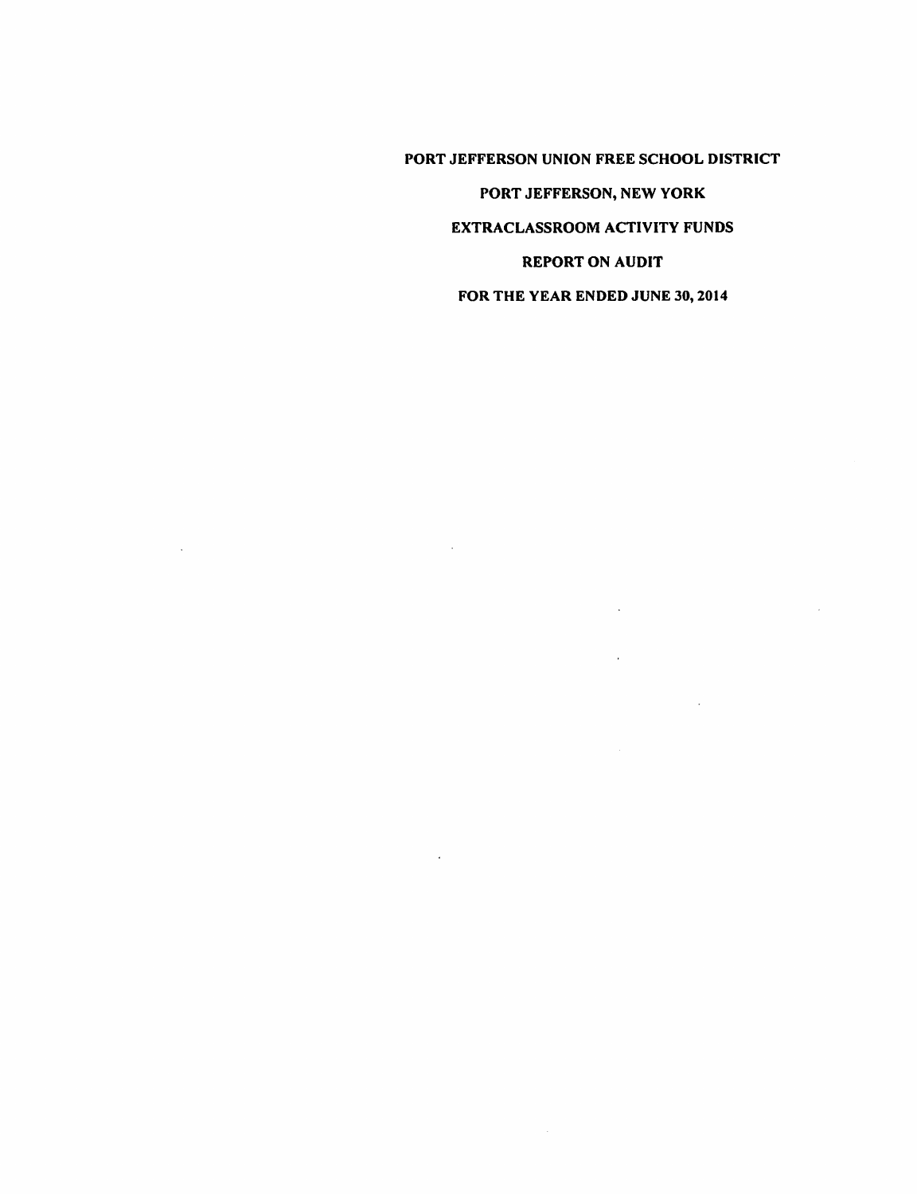PORT JEFFERSON UNION FREE SCHOOL DISTRICT PORT JEFFERSON, NEW YORK EXTRACLASSROOM ACTIVITY FUNDS REPORT ON AUDIT FOR THE YEAR ENDED JUNE 30, 2014

 $\mathcal{L}^{(1)}$  .

 $\mathcal{L}^{\text{max}}_{\text{max}}$ 

 $\mathbb{R}^2$ 

 $\sim$ 

 $\hat{\mathcal{A}}$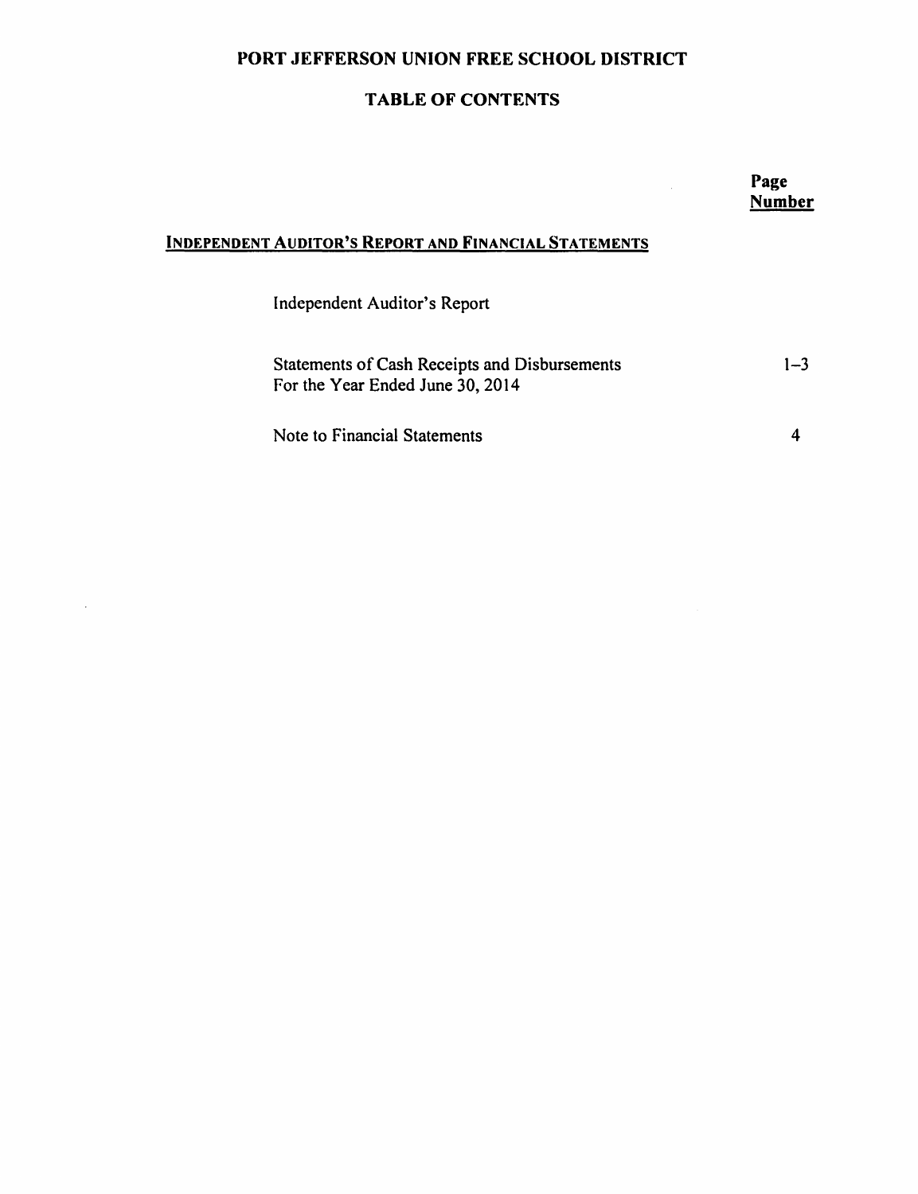# PORT JEFFERSON UNION FREE SCHOOL DISTRICT

# TABLE OF CONTENTS

|                                                                                          | Page<br><b>Number</b> |
|------------------------------------------------------------------------------------------|-----------------------|
| INDEPENDENT AUDITOR'S REPORT AND FINANCIAL STATEMENTS                                    |                       |
| Independent Auditor's Report                                                             |                       |
| <b>Statements of Cash Receipts and Disbursements</b><br>For the Year Ended June 30, 2014 | $1 - 3$               |
| Note to Financial Statements                                                             |                       |

 $\bar{z}$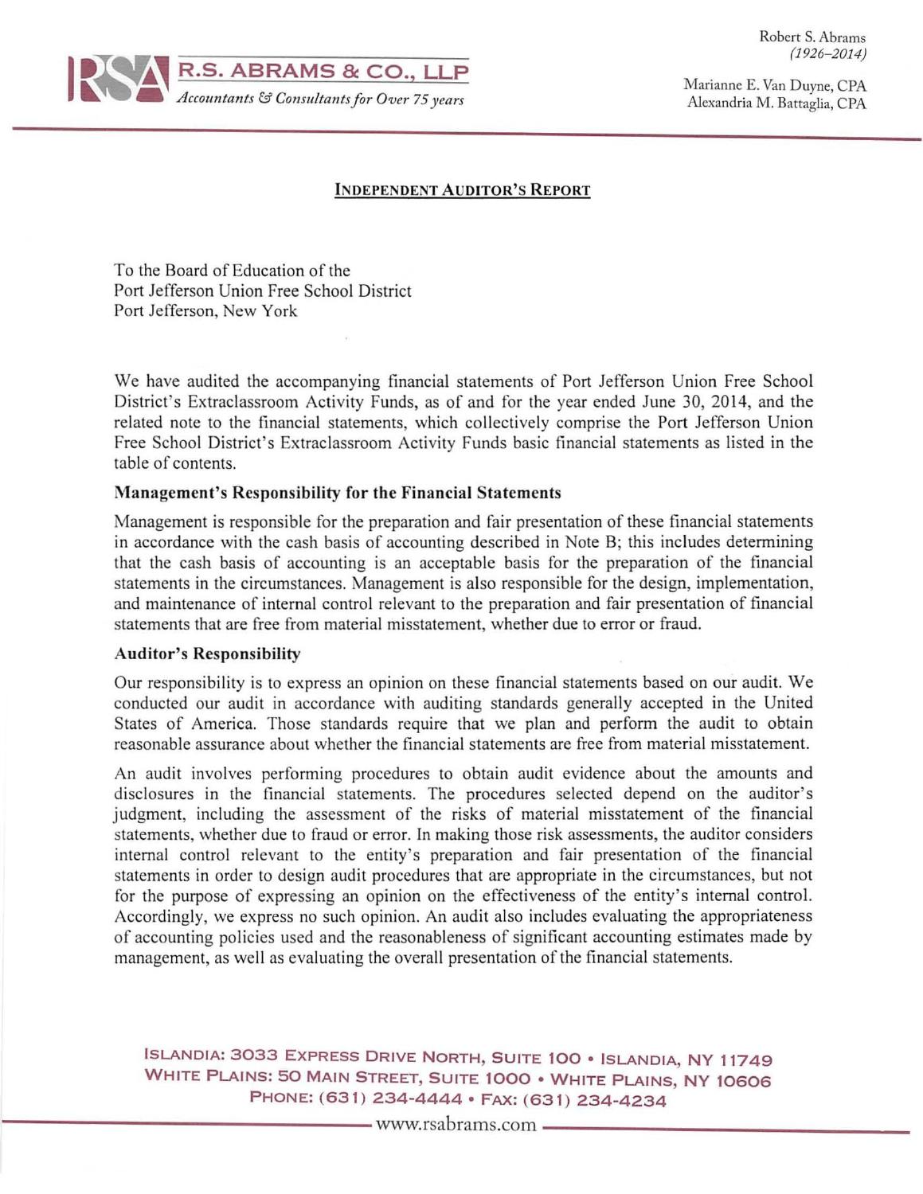**1288 A.S. ABRAMS & CO., LLP**<br>Accountants & *Consultants for Over 75 years* 

Robert S. Abrams *(1926-2014)* 

Marianne E. Van Duyne, CPA Alexandria M. Battaglia, CPA

#### INDEPENDENT AUDITOR'S REPORT

To the Board of Education of the Port lefferson Union Free School District Port lefferson, New York

We have audited the accompanying financial statements of Port Jefferson Union Free School District's Extraclassroom Activity Funds, as of and for the year ended June 30, 2014, and the related note to the financial statements, which collectively comprise the Port Jefferson Union Free School District's Extraclassroom Activity Funds basic financial statements as listed in the table of contents.

### Management's Responsibility for the Financial Statements

Management is responsible for the preparation and fair presentation of these financial statements in accordance with the cash basis of accounting described in Note B; this includes determining that the cash basis of accounting is an acceptable basis for the preparation of the financial statements in the circumstances. Management is also responsible for the design, implementation, and maintenance of internal control relevant to the preparation and fair presentation of financial statements that are free from material misstatement, whether due to error or fraud.

#### Auditor's Responsibility

Our responsibility is to express an opinion on these financial statements based on our audit. We conducted our audit in accordance with auditing standards generally accepted in the United States of America. Those standards require that we plan and perform the audit to obtain reasonable assurance about whether the financial statements are free from material misstatement.

An audit involves performing procedures to obtain audit evidence about the amounts and disclosures in the financial statements. The procedures selected depend on the auditor's judgment, including the assessment of the risks of material misstatement of the financial statements, whether due to fraud or error. In making those risk assessments, the auditor considers internal control relevant to the entity's preparation and fair presentation of the financial statements in order to design audit procedures that are appropriate in the circumstances, but not for the purpose of expressing an opinion on the effectiveness of the entity's internal control. Accordingly, we express no such opinion. An audit also includes evaluating the appropriateness of accounting policies used and the reasonableness of significant accounting estimates made by management, as well as evaluating the overall presentation of the financial statements.

# ISLANDIA: 3033 EXPRESS DRIVE NORTH, SUITE 100 • ISLANDIA, NY 11749 WHITE PLAINS: 50 MAIN STREET, SUITE 1000 • WHITE PLAINS, NY 10606 PHONE: ( 631) 234-4444· FAX: (631) 234-4234 -----------------www.rsabrams.com **\_\_\_\_\_\_\_\_\_\_\_\_\_\_\_\_ \_**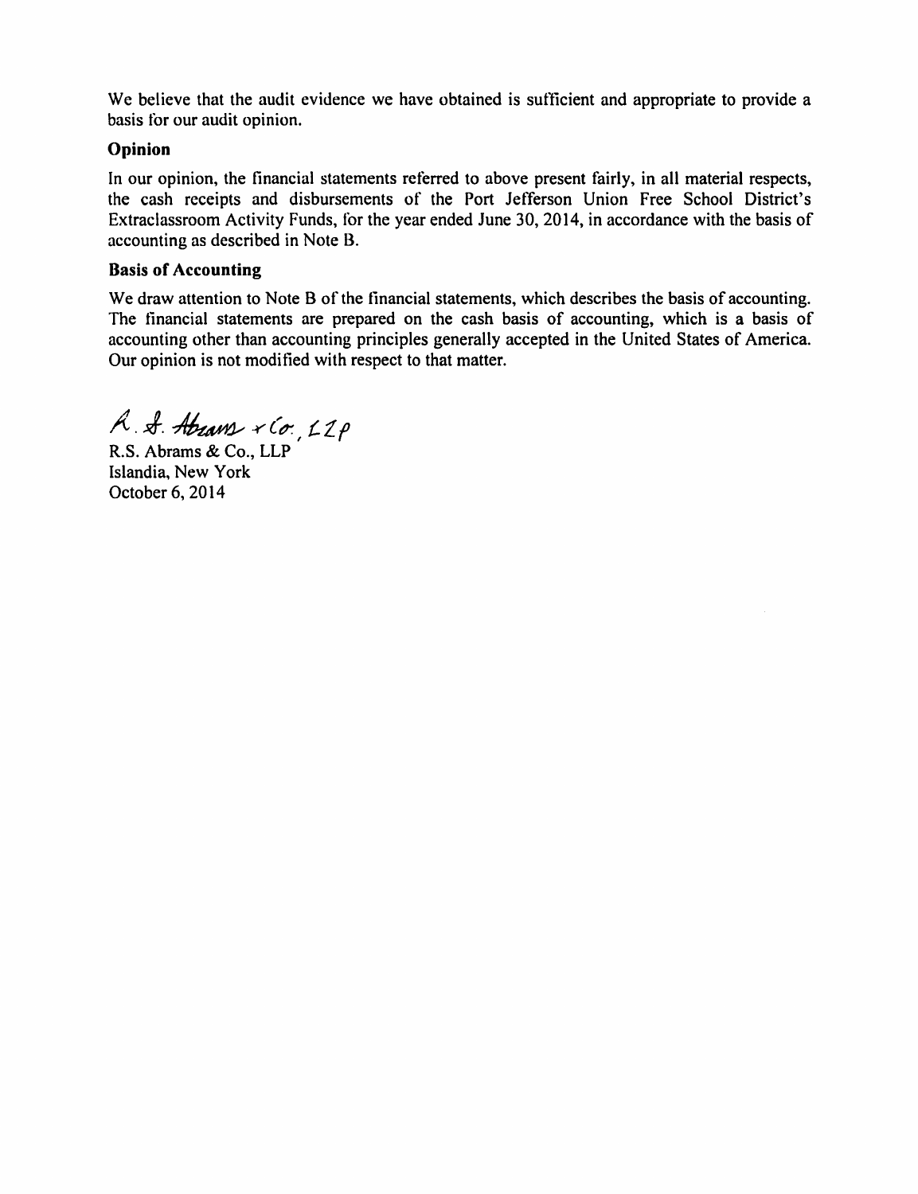We believe that the audit evidence we have obtained is sufficient and appropriate to provide a basis for our audit opinion.

## **Opinion**

In our opinion, the financial statements referred to above present fairly, in all material respects, the cash receipts and disbursements of the Port Jefferson Union Free School District's Extraclassroom Activity Funds, for the year ended June 30, 2014, in accordance with the basis of accounting as described in Note B.

## Basis of Accounting

We draw attention to Note B of the financial statements, which describes the basis of accounting. The financial statements are prepared on the cash basis of accounting, which is a basis of accounting other than accounting principles generally accepted in the United States of America. Our opinion is not modified with respect to that matter.

A. **S.** Abram + Co., L2p

R.S. Abrams & Co., LLP Islandia, New York October 6, 2014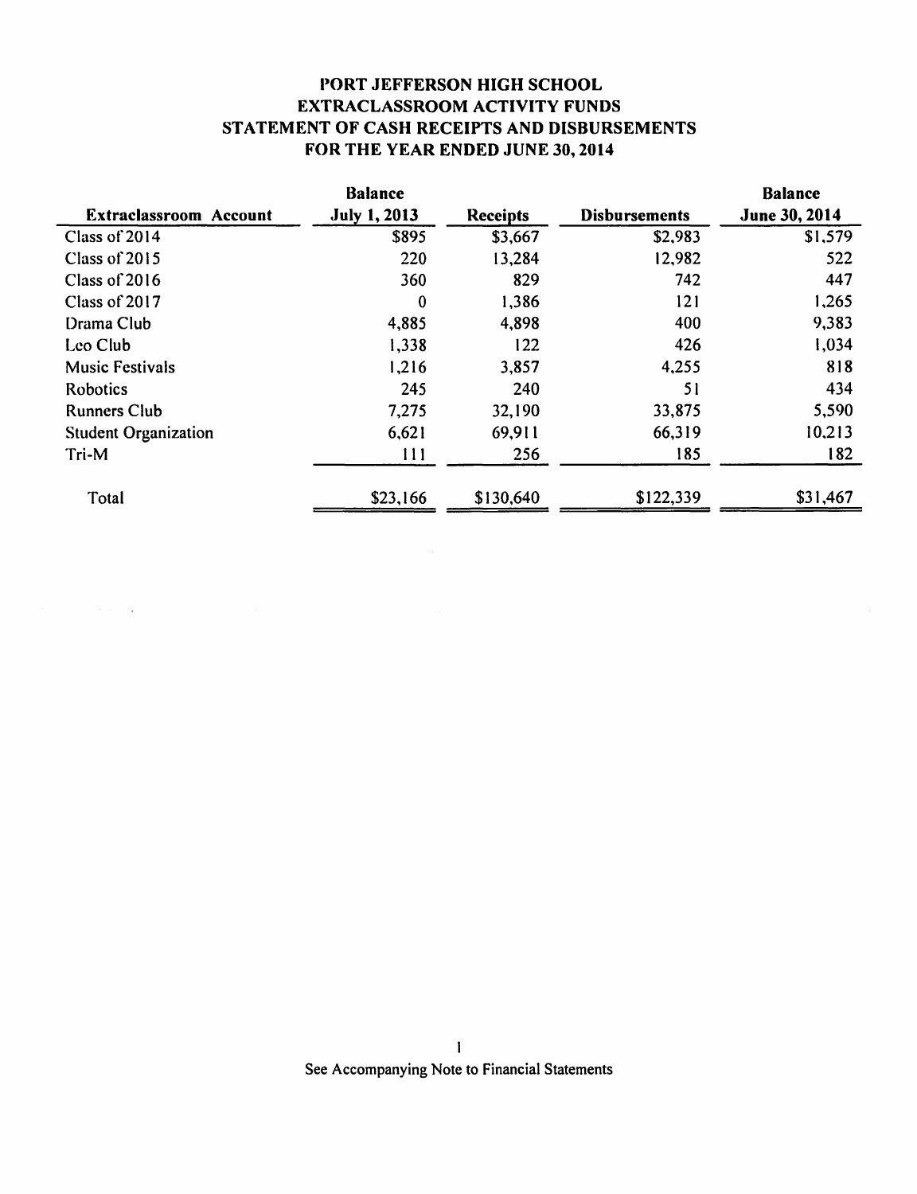## PORT JEFFERSON HIGH SCHOOL EXTRACLASSROOM ACTIVITY FUNDS STATEMENT OF CASH RECEIPTS AND DISBURSEMENTS FOR THE YEAR ENDED JUNE 30,2014

|                               | <b>Balance</b>      |                 |                      | <b>Balance</b> |
|-------------------------------|---------------------|-----------------|----------------------|----------------|
| <b>Extraclassroom Account</b> | <b>July 1, 2013</b> | <b>Receipts</b> | <b>Disbursements</b> | June 30, 2014  |
| Class of 2014                 | \$895               | \$3,667         | \$2,983              | \$1,579        |
| Class of 2015                 | 220                 | 13,284          | 12,982               | 522            |
| Class of 2016                 | 360                 | 829             | 742                  | 447            |
| Class of 2017                 | 0                   | 1,386           | 121                  | 1,265          |
| Drama Club                    | 4,885               | 4,898           | 400                  | 9,383          |
| Leo Club                      | 1,338               | 122             | 426                  | 1,034          |
| <b>Music Festivals</b>        | 1,216               | 3,857           | 4,255                | 818            |
| <b>Robotics</b>               | 245                 | 240             | 51                   | 434            |
| <b>Runners Club</b>           | 7,275               | 32,190          | 33,875               | 5,590          |
| <b>Student Organization</b>   | 6,621               | 69,911          | 66,319               | 10,213         |
| Tri-M                         | 111                 | 256             | 185                  | 182            |
| Total                         | \$23,166            | \$130,640       | \$122,339            | \$31,467       |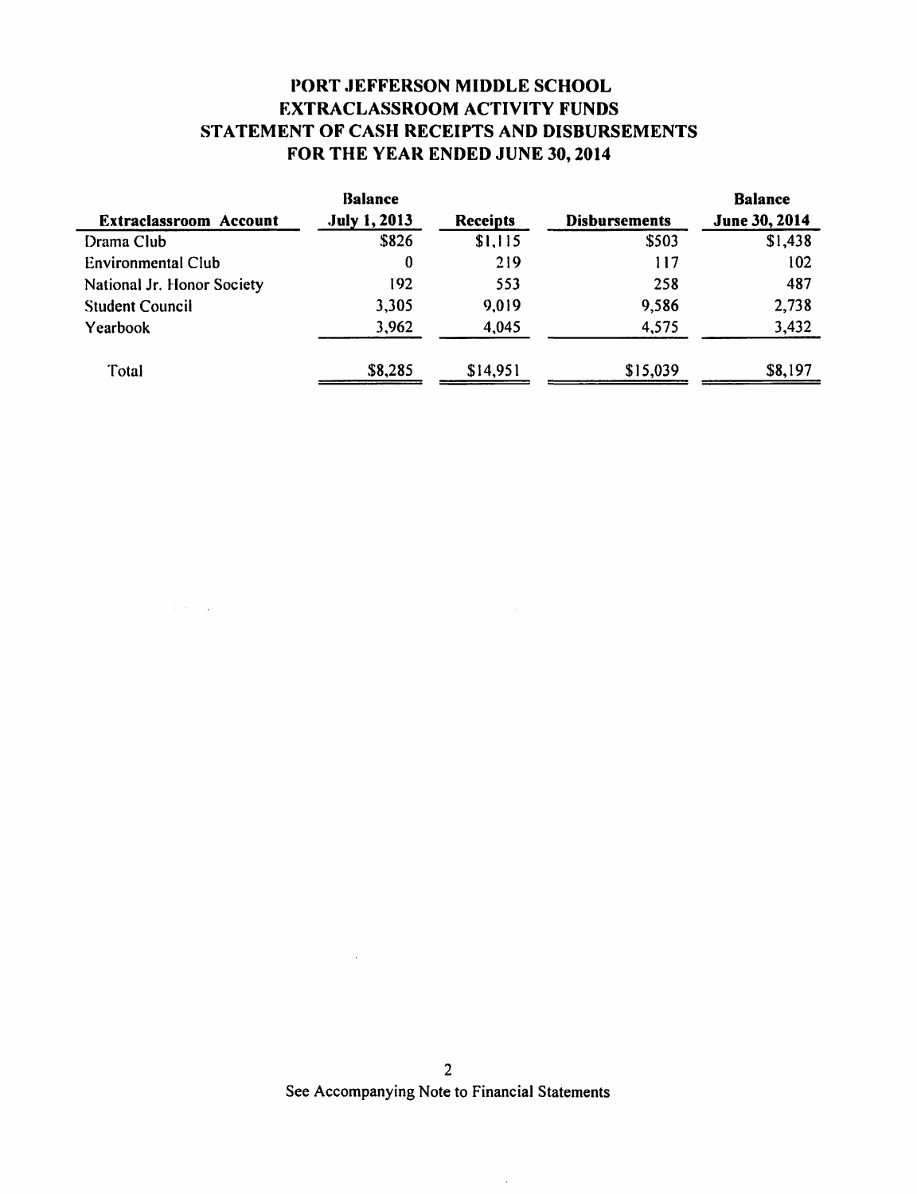# **PORT JEFFERSON MIDDLE SCHOOL EXTRACLASSROOM ACTIVITY FUNDS STATEMENT OF CASH RECEIPTS AND DISBURSEMENTS FOR THE YEAR ENDED JUNE 30, 2014**

|                               | <b>Balance</b>      |                 |                      | <b>Balance</b> |
|-------------------------------|---------------------|-----------------|----------------------|----------------|
| <b>Extraclassroom Account</b> | <b>July 1, 2013</b> | <b>Receipts</b> | <b>Disbursements</b> | June 30, 2014  |
| Drama Club                    | \$826               | \$1,115         | \$503                | \$1,438        |
| <b>Environmental Club</b>     | 0                   | 219             | 117                  | 102            |
| National Jr. Honor Society    | 192                 | 553             | 258                  | 487            |
| <b>Student Council</b>        | 3,305               | 9,019           | 9,586                | 2,738          |
| Yearbook                      | 3,962               | 4,045           | 4,575                | 3,432          |
| Total                         | \$8,285             | \$14,951        | \$15,039             | \$8,197        |

 $\ddot{\phantom{0}}$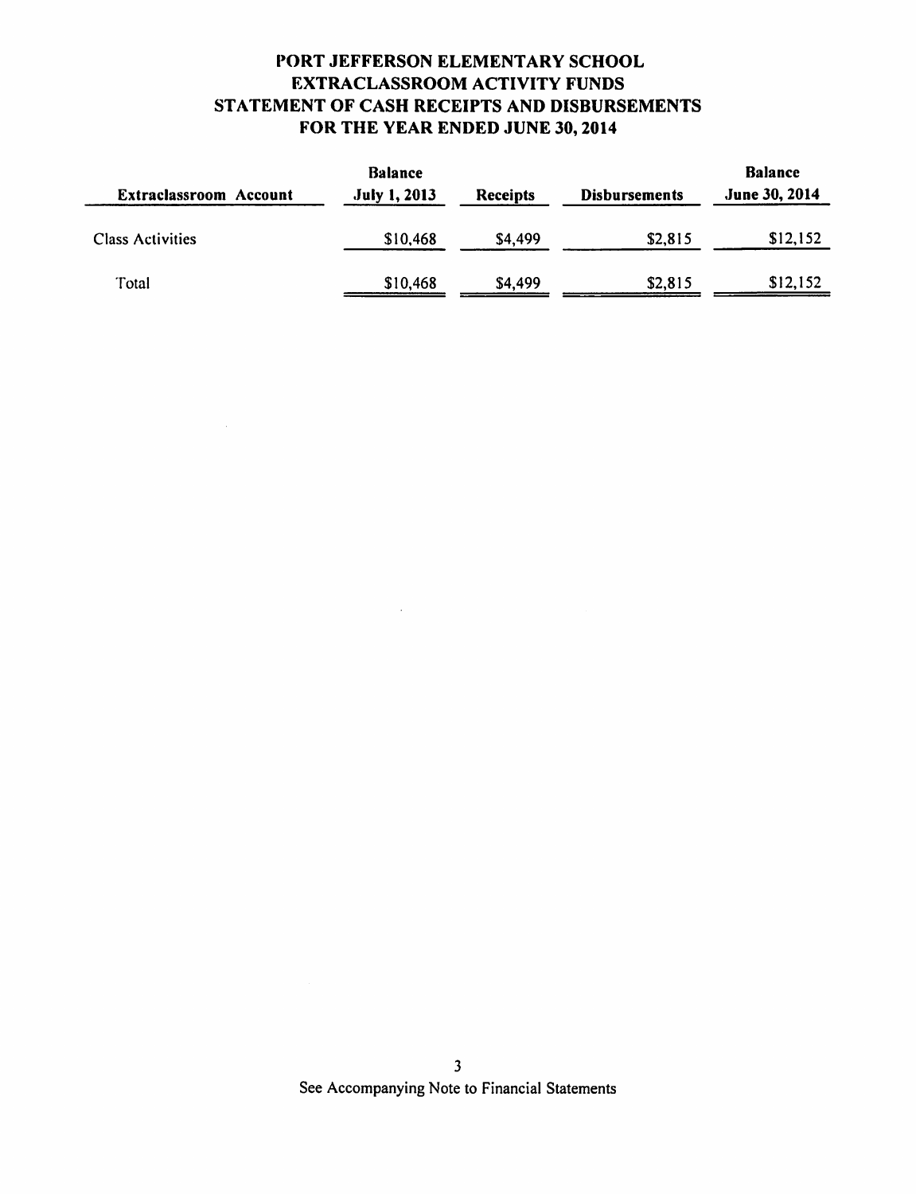# PORT JEFFERSON ELEMENTARY SCHOOL EXTRACLASSROOM ACTIVITY FUNDS STATEMENT OF CASH RECEIPTS AND DISBURSEMENTS FOR THE YEAR ENDED JUNE 30, 2014

|                               | <b>Balance</b>      |                 |                      | <b>Balance</b> |
|-------------------------------|---------------------|-----------------|----------------------|----------------|
| <b>Extraclassroom Account</b> | <b>July 1, 2013</b> | <b>Receipts</b> | <b>Disbursements</b> | June 30, 2014  |
| <b>Class Activities</b>       | \$10,468            | \$4,499         | \$2,815              | \$12,152       |
| Total                         | \$10,468            | \$4,499         | \$2,815              | \$12,152       |